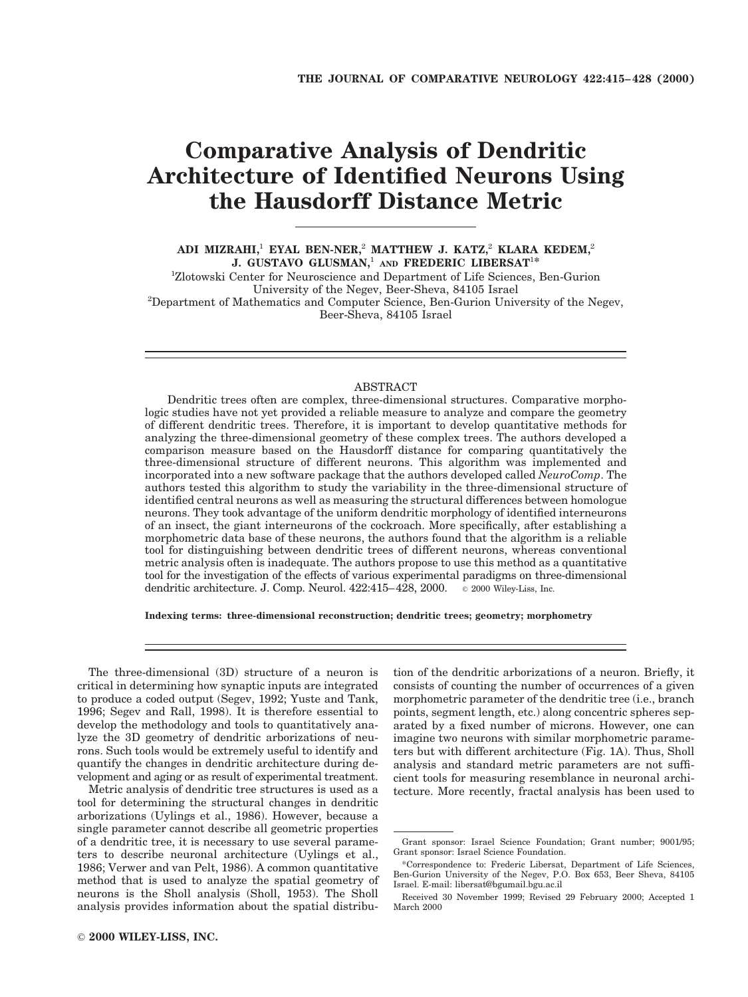# **Comparative Analysis of Dendritic Architecture of Identified Neurons Using the Hausdorff Distance Metric**

**ADI MIZRAHI,**<sup>1</sup> **EYAL BEN-NER,**<sup>2</sup> **MATTHEW J. KATZ,**<sup>2</sup> **KLARA KEDEM,**<sup>2</sup> **J. GUSTAVO GLUSMAN,**<sup>1</sup> **AND FREDERIC LIBERSAT**<sup>1</sup>**\***

<sup>1</sup>Zlotowski Center for Neuroscience and Department of Life Sciences, Ben-Gurion University of the Negev, Beer-Sheva, 84105 Israel <sup>2</sup> Department of Mathematics and Computer Science, Ben-Gurion University of the Negev, Beer-Sheva, 84105 Israel

#### ABSTRACT

Dendritic trees often are complex, three-dimensional structures. Comparative morphologic studies have not yet provided a reliable measure to analyze and compare the geometry of different dendritic trees. Therefore, it is important to develop quantitative methods for analyzing the three-dimensional geometry of these complex trees. The authors developed a comparison measure based on the Hausdorff distance for comparing quantitatively the three-dimensional structure of different neurons. This algorithm was implemented and incorporated into a new software package that the authors developed called *NeuroComp*. The authors tested this algorithm to study the variability in the three-dimensional structure of identified central neurons as well as measuring the structural differences between homologue neurons. They took advantage of the uniform dendritic morphology of identified interneurons of an insect, the giant interneurons of the cockroach. More specifically, after establishing a morphometric data base of these neurons, the authors found that the algorithm is a reliable tool for distinguishing between dendritic trees of different neurons, whereas conventional metric analysis often is inadequate. The authors propose to use this method as a quantitative tool for the investigation of the effects of various experimental paradigms on three-dimensional dendritic architecture. J. Comp. Neurol. 422:415–428, 2000. © 2000 Wiley-Liss, Inc.

**Indexing terms: three-dimensional reconstruction; dendritic trees; geometry; morphometry**

The three-dimensional (3D) structure of a neuron is critical in determining how synaptic inputs are integrated to produce a coded output (Segev, 1992; Yuste and Tank, 1996; Segev and Rall, 1998). It is therefore essential to develop the methodology and tools to quantitatively analyze the 3D geometry of dendritic arborizations of neurons. Such tools would be extremely useful to identify and quantify the changes in dendritic architecture during development and aging or as result of experimental treatment.

Metric analysis of dendritic tree structures is used as a tool for determining the structural changes in dendritic arborizations (Uylings et al., 1986). However, because a single parameter cannot describe all geometric properties of a dendritic tree, it is necessary to use several parameters to describe neuronal architecture (Uylings et al., 1986; Verwer and van Pelt, 1986). A common quantitative method that is used to analyze the spatial geometry of neurons is the Sholl analysis (Sholl, 1953). The Sholl analysis provides information about the spatial distribu-

morphometric parameter of the dendritic tree (i.e., branch points, segment length, etc.) along concentric spheres separated by a fixed number of microns. However, one can imagine two neurons with similar morphometric parameters but with different architecture (Fig. 1A). Thus, Sholl analysis and standard metric parameters are not sufficient tools for measuring resemblance in neuronal architecture. More recently, fractal analysis has been used to

tion of the dendritic arborizations of a neuron. Briefly, it consists of counting the number of occurrences of a given

Grant sponsor: Israel Science Foundation; Grant number; 9001/95; Grant sponsor: Israel Science Foundation.

<sup>\*</sup>Correspondence to: Frederic Libersat, Department of Life Sciences, Ben-Gurion University of the Negev, P.O. Box 653, Beer Sheva, 84105 Israel. E-mail: libersat@bgumail.bgu.ac.il

Received 30 November 1999; Revised 29 February 2000; Accepted 1 March 2000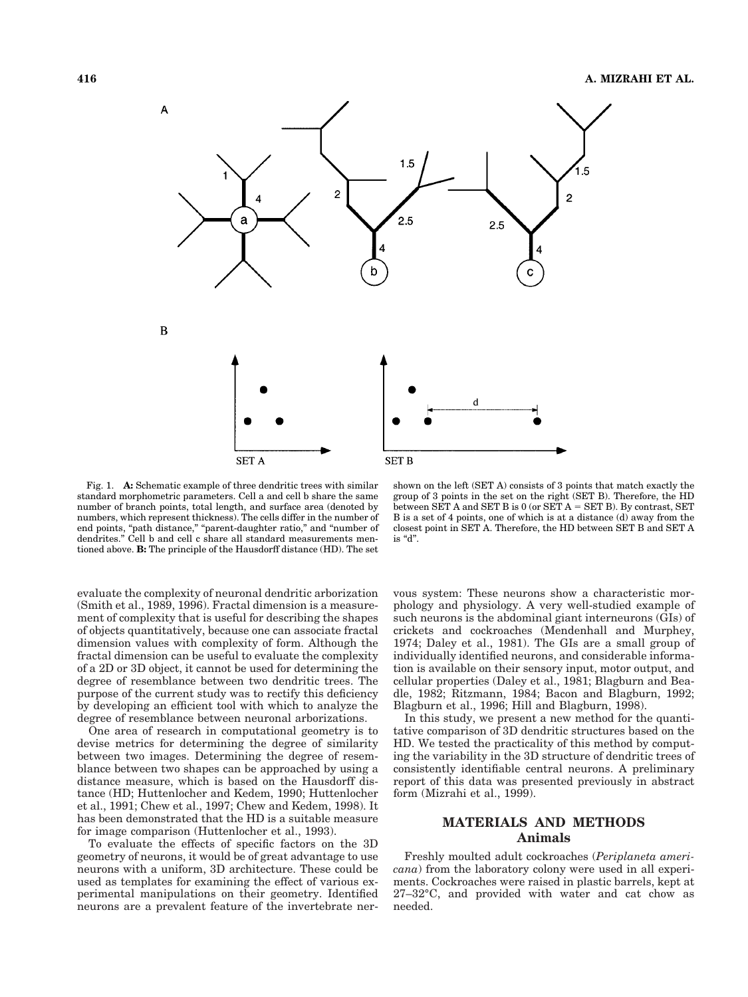

Fig. 1. **A:** Schematic example of three dendritic trees with similar standard morphometric parameters. Cell a and cell b share the same number of branch points, total length, and surface area (denoted by numbers, which represent thickness). The cells differ in the number of end points, "path distance," "parent-daughter ratio," and "number of dendrites." Cell b and cell c share all standard measurements mentioned above. **B:** The principle of the Hausdorff distance (HD). The set

evaluate the complexity of neuronal dendritic arborization (Smith et al., 1989, 1996). Fractal dimension is a measurement of complexity that is useful for describing the shapes of objects quantitatively, because one can associate fractal dimension values with complexity of form. Although the fractal dimension can be useful to evaluate the complexity of a 2D or 3D object, it cannot be used for determining the degree of resemblance between two dendritic trees. The purpose of the current study was to rectify this deficiency by developing an efficient tool with which to analyze the degree of resemblance between neuronal arborizations.

One area of research in computational geometry is to devise metrics for determining the degree of similarity between two images. Determining the degree of resemblance between two shapes can be approached by using a distance measure, which is based on the Hausdorff distance (HD; Huttenlocher and Kedem, 1990; Huttenlocher et al., 1991; Chew et al., 1997; Chew and Kedem, 1998). It has been demonstrated that the HD is a suitable measure for image comparison (Huttenlocher et al., 1993).

To evaluate the effects of specific factors on the 3D geometry of neurons, it would be of great advantage to use neurons with a uniform, 3D architecture. These could be used as templates for examining the effect of various experimental manipulations on their geometry. Identified neurons are a prevalent feature of the invertebrate ner-

shown on the left (SET A) consists of 3 points that match exactly the group of 3 points in the set on the right (SET B). Therefore, the HD between SET A and SET B is  $0$  (or SET A = SET B). By contrast, SET B is a set of 4 points, one of which is at a distance (d) away from the closest point in SET A. Therefore, the HD between SET B and SET A is "d".

vous system: These neurons show a characteristic morphology and physiology. A very well-studied example of such neurons is the abdominal giant interneurons (GIs) of crickets and cockroaches (Mendenhall and Murphey, 1974; Daley et al., 1981). The GIs are a small group of individually identified neurons, and considerable information is available on their sensory input, motor output, and cellular properties (Daley et al., 1981; Blagburn and Beadle, 1982; Ritzmann, 1984; Bacon and Blagburn, 1992; Blagburn et al., 1996; Hill and Blagburn, 1998).

In this study, we present a new method for the quantitative comparison of 3D dendritic structures based on the HD. We tested the practicality of this method by computing the variability in the 3D structure of dendritic trees of consistently identifiable central neurons. A preliminary report of this data was presented previously in abstract form (Mizrahi et al., 1999).

# **MATERIALS AND METHODS Animals**

Freshly moulted adult cockroaches (*Periplaneta americana*) from the laboratory colony were used in all experiments. Cockroaches were raised in plastic barrels, kept at 27–32°C, and provided with water and cat chow as needed.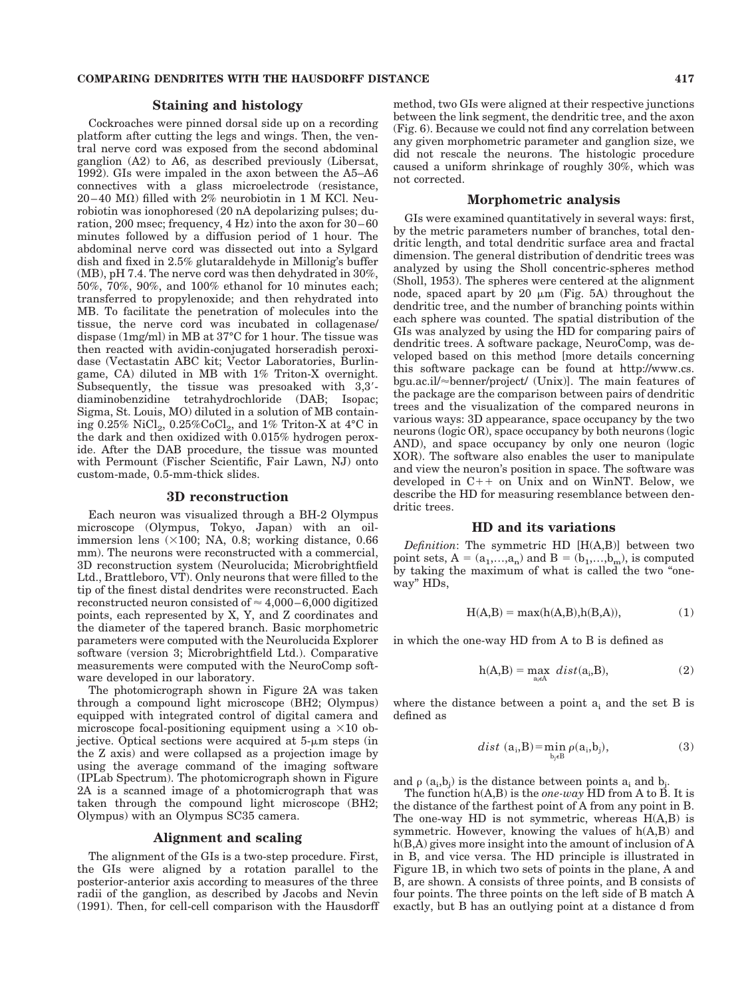#### **Staining and histology**

Cockroaches were pinned dorsal side up on a recording platform after cutting the legs and wings. Then, the ventral nerve cord was exposed from the second abdominal ganglion (A2) to A6, as described previously (Libersat, 1992). GIs were impaled in the axon between the A5–A6 connectives with a glass microelectrode (resistance,  $20-40$  M $\Omega$ ) filled with 2% neurobiotin in 1 M KCl. Neurobiotin was ionophoresed (20 nA depolarizing pulses; duration, 200 msec; frequency, 4 Hz) into the axon for 30–60 minutes followed by a diffusion period of 1 hour. The abdominal nerve cord was dissected out into a Sylgard dish and fixed in 2.5% glutaraldehyde in Millonig's buffer (MB), pH 7.4. The nerve cord was then dehydrated in 30%, 50%, 70%, 90%, and 100% ethanol for 10 minutes each; transferred to propylenoxide; and then rehydrated into MB. To facilitate the penetration of molecules into the tissue, the nerve cord was incubated in collagenase/ dispase (1mg/ml) in MB at 37°C for 1 hour. The tissue was then reacted with avidin-conjugated horseradish peroxidase (Vectastatin ABC kit; Vector Laboratories, Burlingame, CA) diluted in MB with 1% Triton-X overnight. Subsequently, the tissue was presoaked with  $3,3'$ diaminobenzidine tetrahydrochloride (DAB; Isopac; Sigma, St. Louis, MO) diluted in a solution of MB containing 0.25%  $\text{NiCl}_2$ , 0.25% $\text{CoCl}_2$ , and 1% Triton-X at 4°C in the dark and then oxidized with 0.015% hydrogen peroxide. After the DAB procedure, the tissue was mounted with Permount (Fischer Scientific, Fair Lawn, NJ) onto custom-made, 0.5-mm-thick slides.

#### **3D reconstruction**

Each neuron was visualized through a BH-2 Olympus microscope (Olympus, Tokyo, Japan) with an oilimmersion lens  $(\times 100; \text{ NA}, 0.8; \text{ working distance}, 0.66)$ mm). The neurons were reconstructed with a commercial, 3D reconstruction system (Neurolucida; Microbrightfield Ltd., Brattleboro, VT). Only neurons that were filled to the tip of the finest distal dendrites were reconstructed. Each reconstructed neuron consisted of  $\approx 4,000-6,000$  digitized points, each represented by X, Y, and Z coordinates and the diameter of the tapered branch. Basic morphometric parameters were computed with the Neurolucida Explorer software (version 3; Microbrightfield Ltd.). Comparative measurements were computed with the NeuroComp software developed in our laboratory.

The photomicrograph shown in Figure 2A was taken through a compound light microscope (BH2; Olympus) equipped with integrated control of digital camera and microscope focal-positioning equipment using a  $\times 10$  objective. Optical sections were acquired at  $5-\mu m$  steps (in the Z axis) and were collapsed as a projection image by using the average command of the imaging software (IPLab Spectrum). The photomicrograph shown in Figure 2A is a scanned image of a photomicrograph that was taken through the compound light microscope (BH2; Olympus) with an Olympus SC35 camera.

#### **Alignment and scaling**

The alignment of the GIs is a two-step procedure. First, the GIs were aligned by a rotation parallel to the posterior-anterior axis according to measures of the three radii of the ganglion, as described by Jacobs and Nevin (1991). Then, for cell-cell comparison with the Hausdorff

method, two GIs were aligned at their respective junctions between the link segment, the dendritic tree, and the axon (Fig. 6). Because we could not find any correlation between any given morphometric parameter and ganglion size, we did not rescale the neurons. The histologic procedure caused a uniform shrinkage of roughly 30%, which was not corrected.

#### **Morphometric analysis**

GIs were examined quantitatively in several ways: first, by the metric parameters number of branches, total dendritic length, and total dendritic surface area and fractal dimension. The general distribution of dendritic trees was analyzed by using the Sholl concentric-spheres method (Sholl, 1953). The spheres were centered at the alignment node, spaced apart by 20  $\mu$ m (Fig. 5A) throughout the dendritic tree, and the number of branching points within each sphere was counted. The spatial distribution of the GIs was analyzed by using the HD for comparing pairs of dendritic trees. A software package, NeuroComp, was developed based on this method [more details concerning this software package can be found at http://www.cs. bgu.ac.il/ $\approx$ benner/project/ (Unix)]. The main features of the package are the comparison between pairs of dendritic trees and the visualization of the compared neurons in various ways: 3D appearance, space occupancy by the two neurons (logic OR), space occupancy by both neurons (logic AND), and space occupancy by only one neuron (logic XOR). The software also enables the user to manipulate and view the neuron's position in space. The software was developed in  $C++$  on Unix and on WinNT. Below, we describe the HD for measuring resemblance between dendritic trees.

## **HD and its variations**

*Definition*: The symmetric HD [H(A,B)] between two point sets,  $A = (a_1, \ldots, a_n)$  and  $B = (b_1, \ldots, b_m)$ , is computed by taking the maximum of what is called the two "oneway" HDs,

$$
H(A,B) = \max(h(A,B), h(B,A)),\tag{1}
$$

in which the one-way HD from A to B is defined as

$$
h(A,B) = \max_{a_i \in A} \ dist(a_i, B), \tag{2}
$$

where the distance between a point  $a_i$  and the set B is defined as

$$
dist (ai, B) = \min_{bj \in B} \rho(ai, bj),
$$
 (3)

and  $\rho$  ( $a_i$ , $b_j$ ) is the distance between points  $a_i$  and  $b_j$ .

The function h(A,B) is the *one-way* HD from A to B. It is the distance of the farthest point of A from any point in B. The one-way HD is not symmetric, whereas H(A,B) is symmetric. However, knowing the values of h(A,B) and h(B,A) gives more insight into the amount of inclusion of A in B, and vice versa. The HD principle is illustrated in Figure 1B, in which two sets of points in the plane, A and B, are shown. A consists of three points, and B consists of four points. The three points on the left side of B match A exactly, but B has an outlying point at a distance d from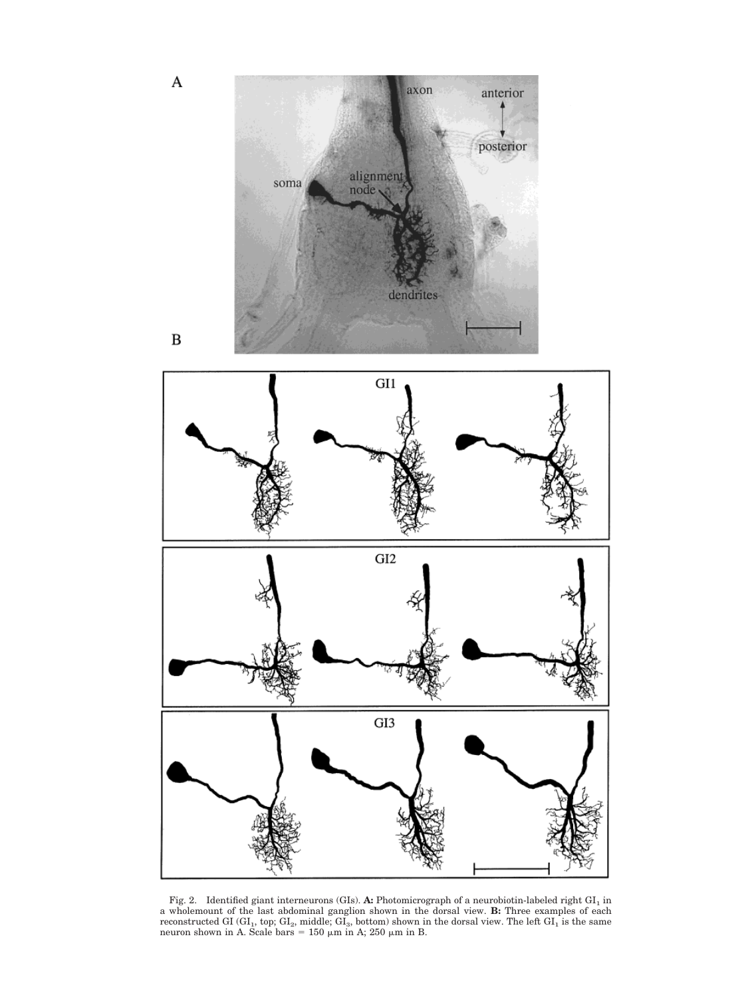

Fig. 2. Identified giant interneurons (GIs). **A:** Photomicrograph of a neurobiotin-labeled right GI<sub>1</sub> in a wholemount of the last abdominal ganglion shown in the dorsal view. **B:** Three examples of each reconstructed GI (GI<sub>1</sub>, top; GI<sub>2</sub>, middle; GI<sub>3</sub>, bottom) shown in the dorsal view. The left GI<sub>1</sub> is the same neuron shown in A. Scale bars = 150  $\mu$ m in A; 250  $\mu$ m in B.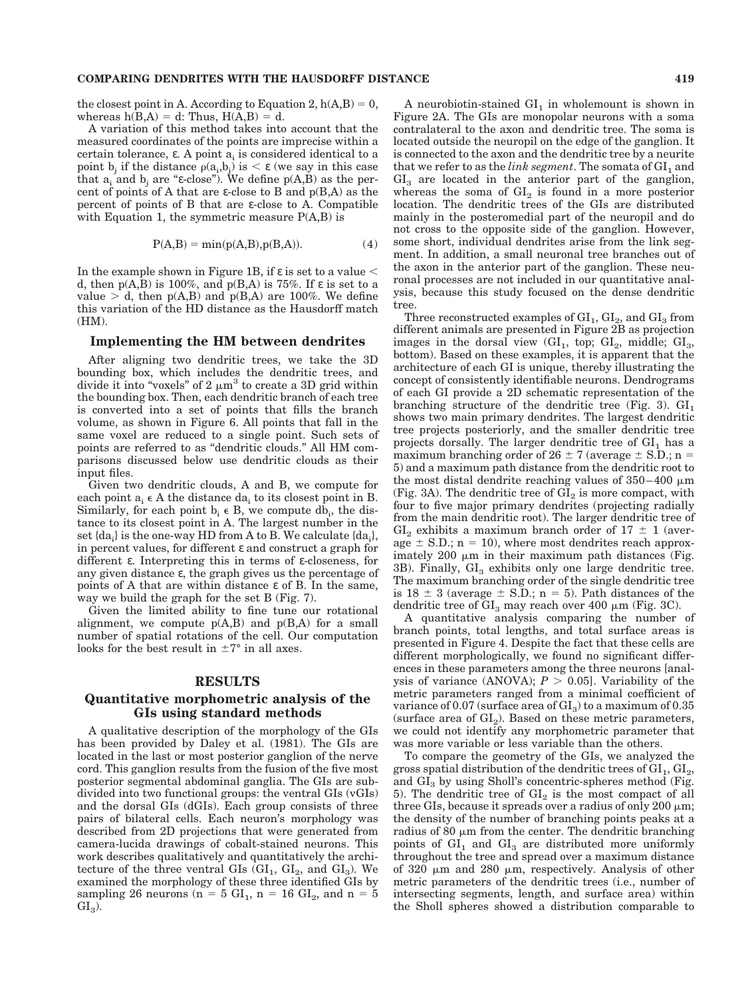#### **COMPARING DENDRITES WITH THE HAUSDORFF DISTANCE 419**

the closest point in A. According to Equation 2,  $h(A,B) = 0$ , whereas  $h(B,A) = d$ : Thus,  $H(A,B) = d$ .

A variation of this method takes into account that the measured coordinates of the points are imprecise within a certain tolerance,  $\varepsilon$ . A point  $a_i$  is considered identical to a point  $b_j$  if the distance  $\rho(a_j, b_j)$  is  $\lt \varepsilon$  (we say in this case that  $a_i$  and  $b_i$  are "ε-close"). We define  $p(A,B)$  as the percent of points of A that are  $\varepsilon$ -close to B and  $p(B,A)$  as the percent of points of B that are ε-close to A. Compatible with Equation 1, the symmetric measure  $P(A,B)$  is

$$
P(A,B) = min(p(A,B),p(B,A)).
$$
\n(4)

In the example shown in Figure 1B, if  $\varepsilon$  is set to a value  $\leq$ d, then  $p(A,B)$  is 100%, and  $p(B,A)$  is 75%. If  $\varepsilon$  is set to a value  $> d$ , then  $p(A,B)$  and  $p(B,A)$  are 100%. We define this variation of the HD distance as the Hausdorff match (HM).

#### **Implementing the HM between dendrites**

After aligning two dendritic trees, we take the 3D bounding box, which includes the dendritic trees, and divide it into "voxels" of 2  $\mu$ m<sup>3</sup> to create a 3D grid within the bounding box. Then, each dendritic branch of each tree is converted into a set of points that fills the branch volume, as shown in Figure 6. All points that fall in the same voxel are reduced to a single point. Such sets of points are referred to as "dendritic clouds." All HM comparisons discussed below use dendritic clouds as their input files.

Given two dendritic clouds, A and B, we compute for each point  $a_i \in A$  the distance da<sub>i</sub> to its closest point in B. Similarly, for each point  $b_i \in B$ , we compute db<sub>i</sub>, the distance to its closest point in A. The largest number in the set  $\{da_i\}$  is the one-way HD from A to B. We calculate  $\{da_i\}$ , in percent values, for different ε and construct a graph for different ε. Interpreting this in terms of ε-closeness, for any given distance ε, the graph gives us the percentage of points of A that are within distance ε of B. In the same, way we build the graph for the set B (Fig. 7).

Given the limited ability to fine tune our rotational alignment, we compute  $p(A,B)$  and  $p(B,A)$  for a small number of spatial rotations of the cell. Our computation looks for the best result in  $\pm 7^{\circ}$  in all axes.

#### **RESULTS**

## **Quantitative morphometric analysis of the GIs using standard methods**

A qualitative description of the morphology of the GIs has been provided by Daley et al. (1981). The GIs are located in the last or most posterior ganglion of the nerve cord. This ganglion results from the fusion of the five most posterior segmental abdominal ganglia. The GIs are subdivided into two functional groups: the ventral GIs (vGIs) and the dorsal GIs (dGIs). Each group consists of three pairs of bilateral cells. Each neuron's morphology was described from 2D projections that were generated from camera-lucida drawings of cobalt-stained neurons. This work describes qualitatively and quantitatively the architecture of the three ventral GIs  $(GI_1, GI_2, and GI_3)$ . We examined the morphology of these three identified GIs by sampling 26 neurons ( $n = 5$  GI<sub>1</sub>,  $n = 16$  GI<sub>2</sub>, and  $n = 5$  $GL_3$ ).

A neurobiotin-stained  $GI_1$  in wholemount is shown in Figure 2A. The GIs are monopolar neurons with a soma contralateral to the axon and dendritic tree. The soma is located outside the neuropil on the edge of the ganglion. It is connected to the axon and the dendritic tree by a neurite that we refer to as the *link segment*. The somata of  $GI_1$  and  $GI<sub>3</sub>$  are located in the anterior part of the ganglion, whereas the soma of  $GI_2$  is found in a more posterior location. The dendritic trees of the GIs are distributed mainly in the posteromedial part of the neuropil and do not cross to the opposite side of the ganglion. However, some short, individual dendrites arise from the link segment. In addition, a small neuronal tree branches out of the axon in the anterior part of the ganglion. These neuronal processes are not included in our quantitative analysis, because this study focused on the dense dendritic tree.

Three reconstructed examples of  $GI_1$ ,  $GI_2$ , and  $GI_3$  from different animals are presented in Figure 2B as projection images in the dorsal view  $(GI_1, top; GI_2, middle; GI_3,$ bottom). Based on these examples, it is apparent that the architecture of each GI is unique, thereby illustrating the concept of consistently identifiable neurons. Dendrograms of each GI provide a 2D schematic representation of the branching structure of the dendritic tree (Fig. 3).  $GI_1$ shows two main primary dendrites. The largest dendritic tree projects posteriorly, and the smaller dendritic tree projects dorsally. The larger dendritic tree of  $GI_1$  has a maximum branching order of  $26 \pm 7$  (average  $\pm$  S.D.; n = 5) and a maximum path distance from the dendritic root to the most distal dendrite reaching values of  $350-400 \mu m$ (Fig. 3A). The dendritic tree of  $GI<sub>2</sub>$  is more compact, with four to five major primary dendrites (projecting radially from the main dendritic root). The larger dendritic tree of  $GI<sub>2</sub>$  exhibits a maximum branch order of  $17 \pm 1$  (average  $\pm$  S.D.; n = 10), where most dendrites reach approximately 200  $\mu$ m in their maximum path distances (Fig. 3B). Finally,  $GI<sub>3</sub>$  exhibits only one large dendritic tree. The maximum branching order of the single dendritic tree is  $18 \pm 3$  (average  $\pm$  S.D.; n = 5). Path distances of the dendritic tree of  $GI_3$  may reach over 400  $\mu$ m (Fig. 3C).

A quantitative analysis comparing the number of branch points, total lengths, and total surface areas is presented in Figure 4. Despite the fact that these cells are different morphologically, we found no significant differences in these parameters among the three neurons [analysis of variance (ANOVA);  $P > 0.05$ ]. Variability of the metric parameters ranged from a minimal coefficient of variance of 0.07 (surface area of  $GI_3$ ) to a maximum of 0.35 (surface area of  $GI<sub>2</sub>$ ). Based on these metric parameters, we could not identify any morphometric parameter that was more variable or less variable than the others.

To compare the geometry of the GIs, we analyzed the gross spatial distribution of the dendritic trees of  $GI_1$ ,  $GI_2$ , and  $GI<sub>3</sub>$  by using Sholl's concentric-spheres method (Fig. 5). The dendritic tree of  $GI<sub>2</sub>$  is the most compact of all three GIs, because it spreads over a radius of only 200  $\mu$ m; the density of the number of branching points peaks at a radius of 80  $\mu$ m from the center. The dendritic branching points of  $GI_1$  and  $GI_3$  are distributed more uniformly throughout the tree and spread over a maximum distance of 320  $\mu$ m and 280  $\mu$ m, respectively. Analysis of other metric parameters of the dendritic trees (i.e., number of intersecting segments, length, and surface area) within the Sholl spheres showed a distribution comparable to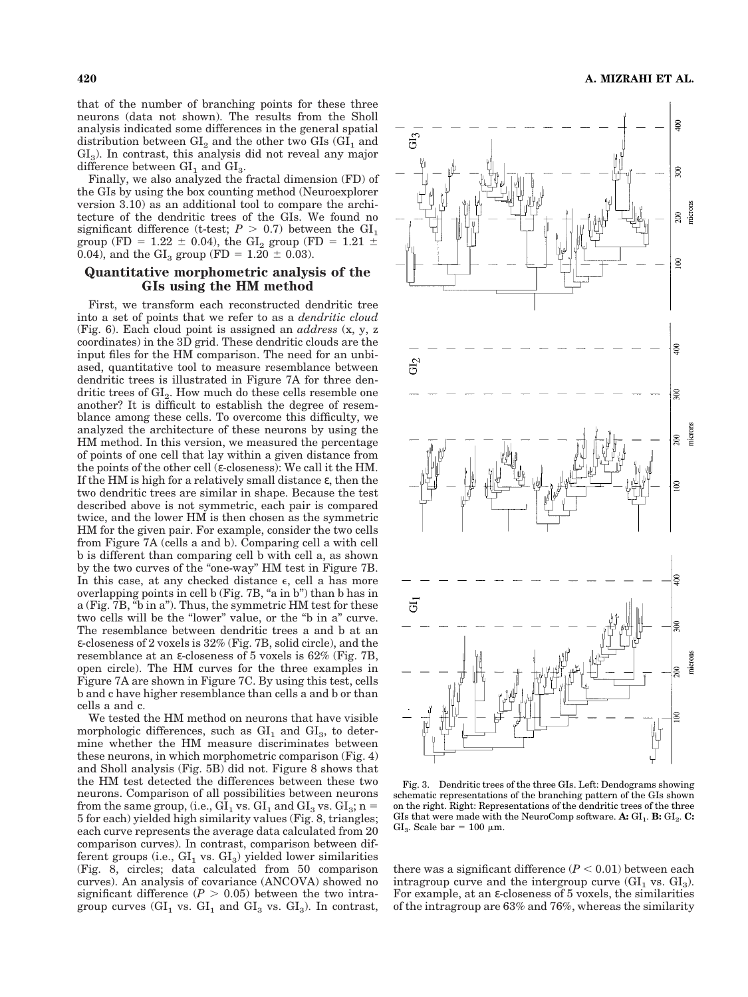that of the number of branching points for these three neurons (data not shown). The results from the Sholl analysis indicated some differences in the general spatial distribution between  $GI_2$  and the other two  $GI_8$  ( $GI_1$  and  $GI<sub>3</sub>$ ). In contrast, this analysis did not reveal any major difference between  $GI_1$  and  $GI_3$ .

Finally, we also analyzed the fractal dimension (FD) of the GIs by using the box counting method (Neuroexplorer version 3.10) as an additional tool to compare the architecture of the dendritic trees of the GIs. We found no significant difference (t-test;  $P > 0.7$ ) between the  $GI_1$ group (FD = 1.22  $\pm$  0.04), the GI<sub>2</sub> group (FD = 1.21  $\pm$ 0.04), and the  $GI_3$  group (FD = 1.20  $\pm$  0.03).

#### **Quantitative morphometric analysis of the GIs using the HM method**

First, we transform each reconstructed dendritic tree into a set of points that we refer to as a *dendritic cloud* (Fig. 6). Each cloud point is assigned an *address* (x, y, z coordinates) in the 3D grid. These dendritic clouds are the input files for the HM comparison. The need for an unbiased, quantitative tool to measure resemblance between dendritic trees is illustrated in Figure 7A for three dendritic trees of GI<sub>2</sub>. How much do these cells resemble one another? It is difficult to establish the degree of resemblance among these cells. To overcome this difficulty, we analyzed the architecture of these neurons by using the HM method. In this version, we measured the percentage of points of one cell that lay within a given distance from the points of the other cell ( $\varepsilon$ -closeness): We call it the HM. If the HM is high for a relatively small distance  $\varepsilon$ , then the two dendritic trees are similar in shape. Because the test described above is not symmetric, each pair is compared twice, and the lower HM is then chosen as the symmetric HM for the given pair. For example, consider the two cells from Figure 7A (cells a and b). Comparing cell a with cell b is different than comparing cell b with cell a, as shown by the two curves of the "one-way" HM test in Figure 7B. In this case, at any checked distance  $\epsilon$ , cell a has more overlapping points in cell b (Fig. 7B, "a in b") than b has in a (Fig. 7B, "b in a"). Thus, the symmetric HM test for these two cells will be the "lower" value, or the "b in a" curve. The resemblance between dendritic trees a and b at an ε-closeness of 2 voxels is 32% (Fig. 7B, solid circle), and the resemblance at an ε-closeness of 5 voxels is 62% (Fig. 7B, open circle). The HM curves for the three examples in Figure 7A are shown in Figure 7C. By using this test, cells b and c have higher resemblance than cells a and b or than cells a and c.

We tested the HM method on neurons that have visible morphologic differences, such as  $GI_1$  and  $GI_3$ , to determine whether the HM measure discriminates between these neurons, in which morphometric comparison (Fig. 4) and Sholl analysis (Fig. 5B) did not. Figure 8 shows that the HM test detected the differences between these two neurons. Comparison of all possibilities between neurons from the same group, (i.e.,  $GI_1$  vs.  $GI_1$  and  $GI_3$  vs.  $GI_3$ ; n = 5 for each) yielded high similarity values (Fig. 8, triangles; each curve represents the average data calculated from 20 comparison curves). In contrast, comparison between different groups (i.e.,  $GI_1$  vs.  $GI_3$ ) yielded lower similarities (Fig. 8, circles; data calculated from 50 comparison curves). An analysis of covariance (ANCOVA) showed no significant difference  $(P > 0.05)$  between the two intragroup curves  $\langle GI_1 \rangle$  vs.  $GI_1 \rangle$  and  $GI_3 \rangle$  vs.  $GI_3$ ). In contrast,



Fig. 3. Dendritic trees of the three GIs. Left: Dendograms showing schematic representations of the branching pattern of the GIs shown on the right. Right: Representations of the dendritic trees of the three GIs that were made with the NeuroComp software.  $\mathbf{A:} \mathrm{GL}_1$ .  $\mathbf{B:} \mathrm{GL}_2$ .  $\mathbf{C:}$ GI<sub>3</sub>. Scale bar = 100  $\mu$ m.

there was a significant difference  $(P < 0.01)$  between each intragroup curve and the intergroup curve  $(GI_1 \text{ vs. } GI_3)$ . For example, at an ε-closeness of 5 voxels, the similarities of the intragroup are 63% and 76%, whereas the similarity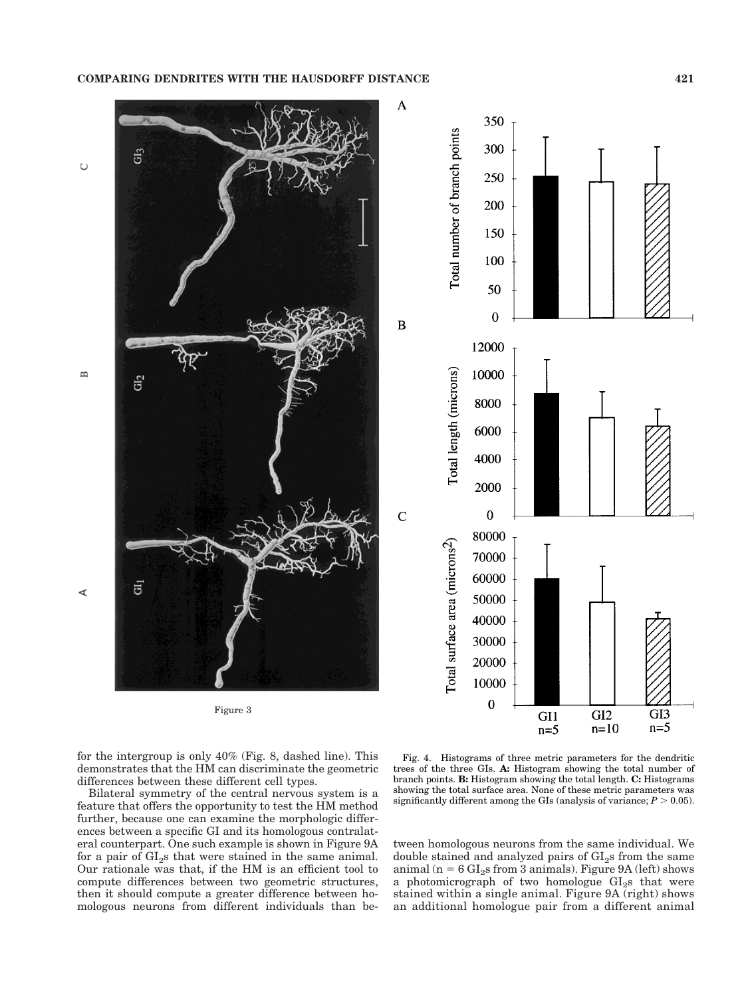#### **COMPARING DENDRITES WITH THE HAUSDORFF DISTANCE 421**



for the intergroup is only 40% (Fig. 8, dashed line). This demonstrates that the HM can discriminate the geometric differences between these different cell types.

Bilateral symmetry of the central nervous system is a feature that offers the opportunity to test the HM method further, because one can examine the morphologic differences between a specific GI and its homologous contralateral counterpart. One such example is shown in Figure 9A for a pair of  $GI<sub>2</sub>$ s that were stained in the same animal. Our rationale was that, if the HM is an efficient tool to compute differences between two geometric structures, then it should compute a greater difference between homologous neurons from different individuals than be-

Fig. 4. Histograms of three metric parameters for the dendritic trees of the three GIs. **A:** Histogram showing the total number of branch points. **B:** Histogram showing the total length. **C:** Histograms showing the total surface area. None of these metric parameters was significantly different among the GIs (analysis of variance;  $P > 0.05$ ).

GI1

 $n=5$ 

GI3

 $n=5$ 

GI<sub>2</sub>

 $n=10$ 

tween homologous neurons from the same individual. We double stained and analyzed pairs of  $GI<sub>2</sub>$ s from the same animal (n =  $6 \text{ GI}_2$ s from 3 animals). Figure 9A (left) shows a photomicrograph of two homologue  $GI<sub>2</sub>$ s that were stained within a single animal. Figure 9A (right) shows an additional homologue pair from a different animal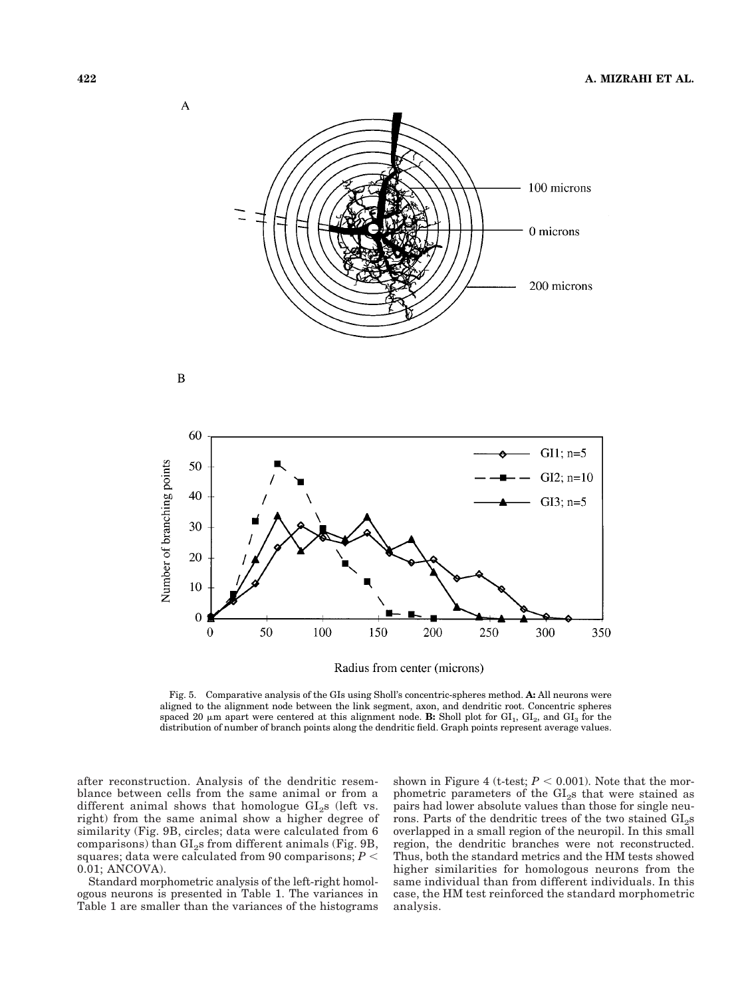

Radius from center (microns)

Fig. 5. Comparative analysis of the GIs using Sholl's concentric-spheres method. **A:** All neurons were aligned to the alignment node between the link segment, axon, and dendritic root. Concentric spheres spaced 20  $\mu$ m apart were centered at this alignment node. **B:** Sholl plot for GI<sub>1</sub>, GI<sub>2</sub>, and GI<sub>3</sub> for the distribution of number of branch points along the dendritic field. Graph points represent average values.

after reconstruction. Analysis of the dendritic resemblance between cells from the same animal or from a different animal shows that homologue  $GI<sub>2</sub>$ s (left vs. right) from the same animal show a higher degree of similarity (Fig. 9B, circles; data were calculated from 6 comparisons) than  $GI<sub>2</sub>$ s from different animals (Fig. 9B, squares; data were calculated from 90 comparisons;  $P <$ 0.01; ANCOVA).

Standard morphometric analysis of the left-right homologous neurons is presented in Table 1. The variances in Table 1 are smaller than the variances of the histograms shown in Figure 4 (t-test;  $P < 0.001$ ). Note that the morphometric parameters of the  $GI<sub>2</sub>$ s that were stained as pairs had lower absolute values than those for single neurons. Parts of the dendritic trees of the two stained GI<sub>2</sub>s overlapped in a small region of the neuropil. In this small region, the dendritic branches were not reconstructed. Thus, both the standard metrics and the HM tests showed higher similarities for homologous neurons from the same individual than from different individuals. In this case, the HM test reinforced the standard morphometric analysis.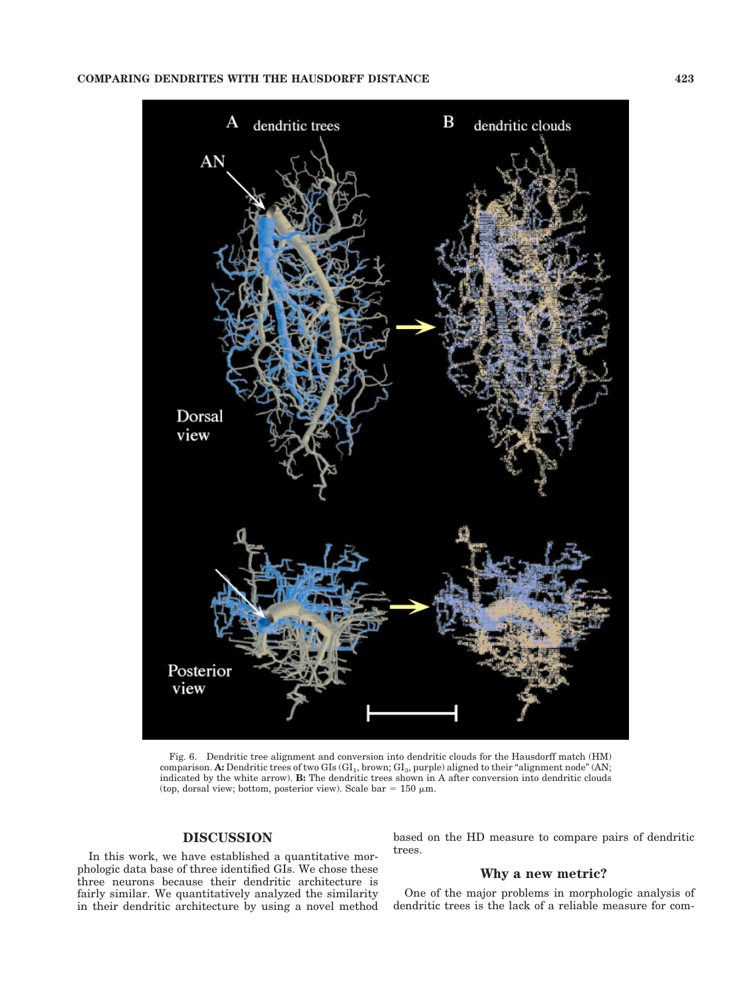

Fig. 6. Dendritic tree alignment and conversion into dendritic clouds for the Hausdorff match (HM) comparison. **A:** Dendritic trees of two GIs (GI<sub>1</sub>, brown; GI<sub>3</sub>, purple) aligned to their "alignment node" (AN; indicated by the white arrow). **B:** The dendritic trees shown in A after conversion into dendritic clouds (top, dorsal view; bottom, posterior view). Scale bar = 150  $\mu$ m.

## **DISCUSSION**

In this work, we have established a quantitative morphologic data base of three identified GIs. We chose these three neurons because their dendritic architecture is fairly similar. We quantitatively analyzed the similarity in their dendritic architecture by using a novel method based on the HD measure to compare pairs of dendritic trees.

# **Why a new metric?**

One of the major problems in morphologic analysis of dendritic trees is the lack of a reliable measure for com-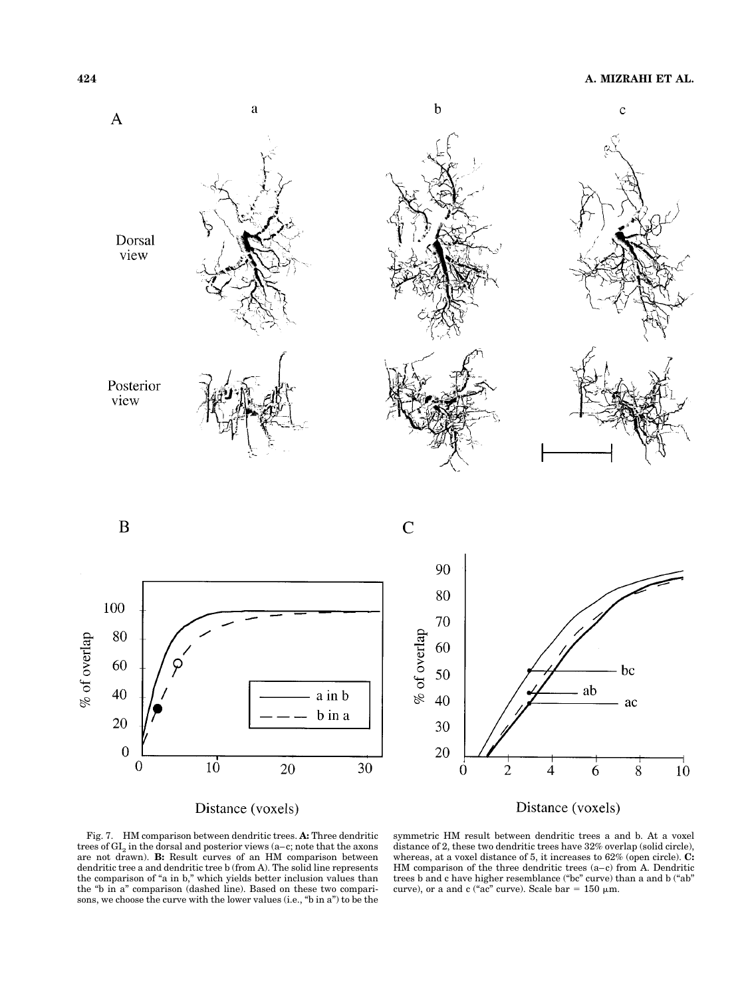

Fig. 7. HM comparison between dendritic trees. **A:** Three dendritic trees of  $GI_2$  in the dorsal and posterior views (a-c; note that the axons are not drawn). **B:** Result curves of an HM comparison between dendritic tree a and dendritic tree b (from A). The solid line represents the comparison of "a in b," which yields better inclusion values than the "b in a" comparison (dashed line). Based on these two comparisons, we choose the curve with the lower values (i.e., "b in a") to be the

symmetric HM result between dendritic trees a and b. At a voxel distance of 2, these two dendritic trees have 32% overlap (solid circle), whereas, at a voxel distance of 5, it increases to 62% (open circle). **C:** HM comparison of the three dendritic trees (a–c) from A. Dendritic trees b and c have higher resemblance ("bc" curve) than a and b ("ab" curve), or a and c ("ac" curve). Scale bar =  $150 \mu m$ .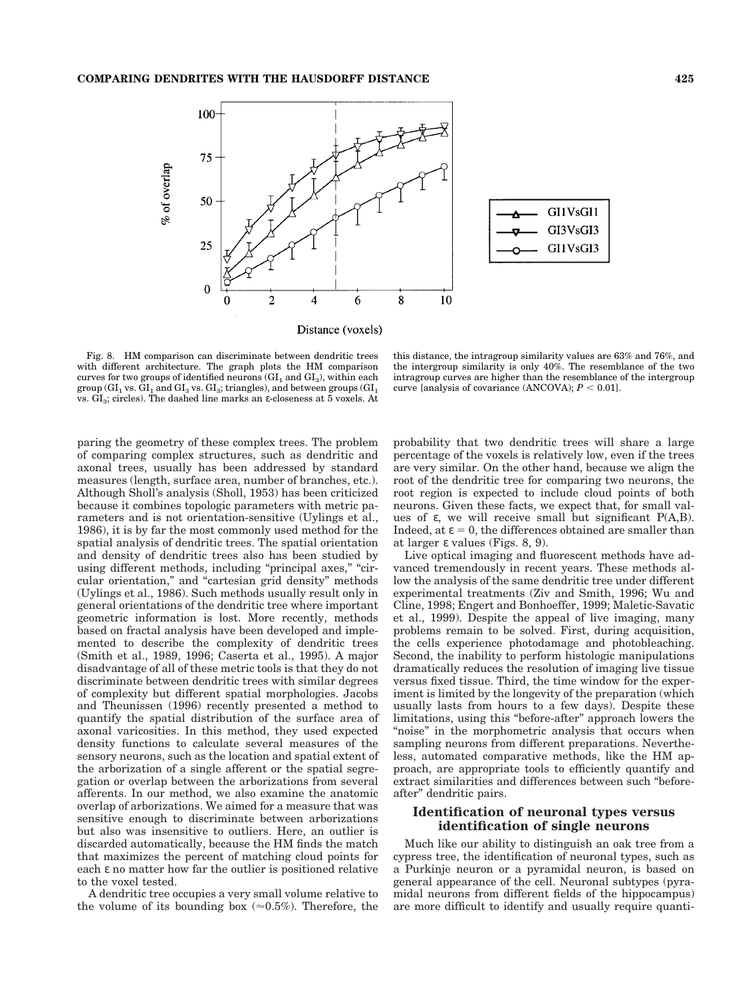

Distance (voxels)

Fig. 8. HM comparison can discriminate between dendritic trees with different architecture. The graph plots the HM comparison curves for two groups of identified neurons  $(GI<sub>1</sub>$  and  $GI<sub>3</sub>)$ , within each group ( $GI_1$  vs.  $GI_1$  and  $GI_3$  vs.  $GI_3$ ; triangles), and between groups ( $GI_1$ vs.  $GI<sub>3</sub>$ ; circles). The dashed line marks an ε-closeness at 5 voxels. At

paring the geometry of these complex trees. The problem of comparing complex structures, such as dendritic and axonal trees, usually has been addressed by standard measures (length, surface area, number of branches, etc.). Although Sholl's analysis (Sholl, 1953) has been criticized because it combines topologic parameters with metric parameters and is not orientation-sensitive (Uylings et al., 1986), it is by far the most commonly used method for the spatial analysis of dendritic trees. The spatial orientation and density of dendritic trees also has been studied by using different methods, including "principal axes," "circular orientation," and "cartesian grid density" methods (Uylings et al., 1986). Such methods usually result only in general orientations of the dendritic tree where important geometric information is lost. More recently, methods based on fractal analysis have been developed and implemented to describe the complexity of dendritic trees (Smith et al., 1989, 1996; Caserta et al., 1995). A major disadvantage of all of these metric tools is that they do not discriminate between dendritic trees with similar degrees of complexity but different spatial morphologies. Jacobs and Theunissen (1996) recently presented a method to quantify the spatial distribution of the surface area of axonal varicosities. In this method, they used expected density functions to calculate several measures of the sensory neurons, such as the location and spatial extent of the arborization of a single afferent or the spatial segregation or overlap between the arborizations from several afferents. In our method, we also examine the anatomic overlap of arborizations. We aimed for a measure that was sensitive enough to discriminate between arborizations but also was insensitive to outliers. Here, an outlier is discarded automatically, because the HM finds the match that maximizes the percent of matching cloud points for each ε no matter how far the outlier is positioned relative to the voxel tested.

A dendritic tree occupies a very small volume relative to the volume of its bounding box ( $\approx 0.5\%$ ). Therefore, the

this distance, the intragroup similarity values are 63% and 76%, and the intergroup similarity is only 40%. The resemblance of the two intragroup curves are higher than the resemblance of the intergroup curve [analysis of covariance (ANCOVA);  $P < 0.01$ ].

probability that two dendritic trees will share a large percentage of the voxels is relatively low, even if the trees are very similar. On the other hand, because we align the root of the dendritic tree for comparing two neurons, the root region is expected to include cloud points of both neurons. Given these facts, we expect that, for small values of ε, we will receive small but significant  $P(A,B)$ . Indeed, at  $\varepsilon = 0$ , the differences obtained are smaller than at larger ε values (Figs. 8, 9).

Live optical imaging and fluorescent methods have advanced tremendously in recent years. These methods allow the analysis of the same dendritic tree under different experimental treatments (Ziv and Smith, 1996; Wu and Cline, 1998; Engert and Bonhoeffer, 1999; Maletic-Savatic et al., 1999). Despite the appeal of live imaging, many problems remain to be solved. First, during acquisition, the cells experience photodamage and photobleaching. Second, the inability to perform histologic manipulations dramatically reduces the resolution of imaging live tissue versus fixed tissue. Third, the time window for the experiment is limited by the longevity of the preparation (which usually lasts from hours to a few days). Despite these limitations, using this "before-after" approach lowers the "noise" in the morphometric analysis that occurs when sampling neurons from different preparations. Nevertheless, automated comparative methods, like the HM approach, are appropriate tools to efficiently quantify and extract similarities and differences between such "beforeafter" dendritic pairs.

## **Identification of neuronal types versus identification of single neurons**

Much like our ability to distinguish an oak tree from a cypress tree, the identification of neuronal types, such as a Purkinje neuron or a pyramidal neuron, is based on general appearance of the cell. Neuronal subtypes (pyramidal neurons from different fields of the hippocampus) are more difficult to identify and usually require quanti-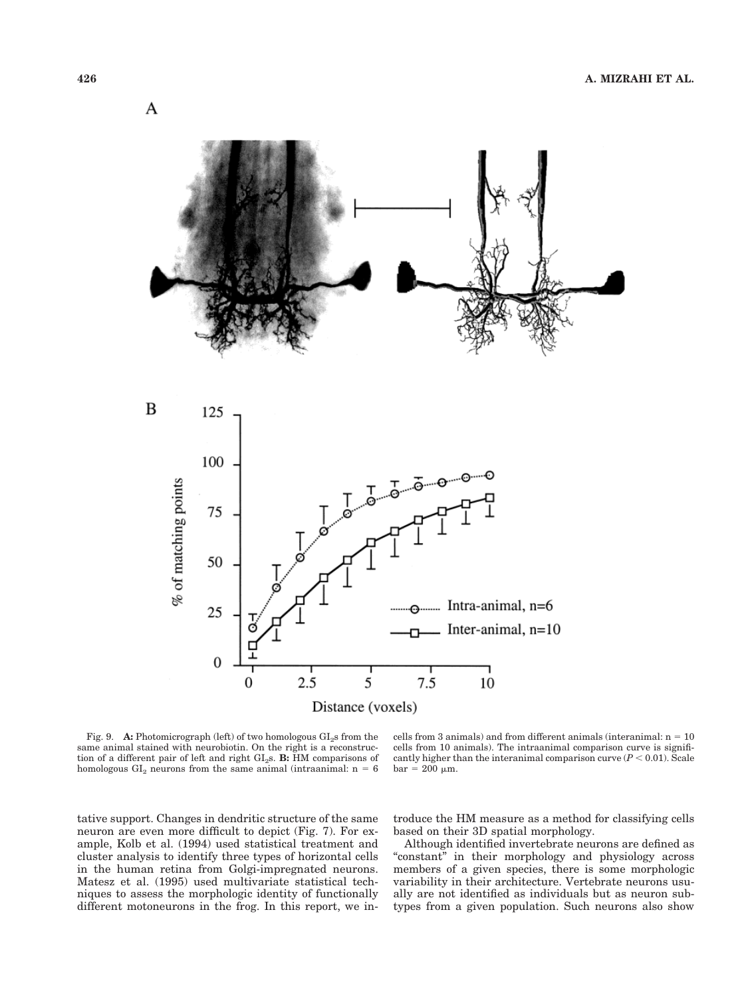

Fig. 9. **A:** Photomicrograph (left) of two homologous GI<sub>2</sub>s from the same animal stained with neurobiotin. On the right is a reconstruction of a different pair of left and right GI<sub>2</sub>s. **B:** HM comparisons of homologous  $GI_2$  neurons from the same animal (intraanimal:  $n = 6$ 

cells from 3 animals) and from different animals (interanimal:  $n = 10$ cells from 10 animals). The intraanimal comparison curve is significantly higher than the interanimal comparison curve  $(P < 0.01)$ . Scale  $bar = 200 \mu m$ .

tative support. Changes in dendritic structure of the same neuron are even more difficult to depict (Fig. 7). For example, Kolb et al. (1994) used statistical treatment and cluster analysis to identify three types of horizontal cells in the human retina from Golgi-impregnated neurons. Matesz et al. (1995) used multivariate statistical techniques to assess the morphologic identity of functionally different motoneurons in the frog. In this report, we introduce the HM measure as a method for classifying cells based on their 3D spatial morphology.

Although identified invertebrate neurons are defined as "constant" in their morphology and physiology across members of a given species, there is some morphologic variability in their architecture. Vertebrate neurons usually are not identified as individuals but as neuron subtypes from a given population. Such neurons also show

A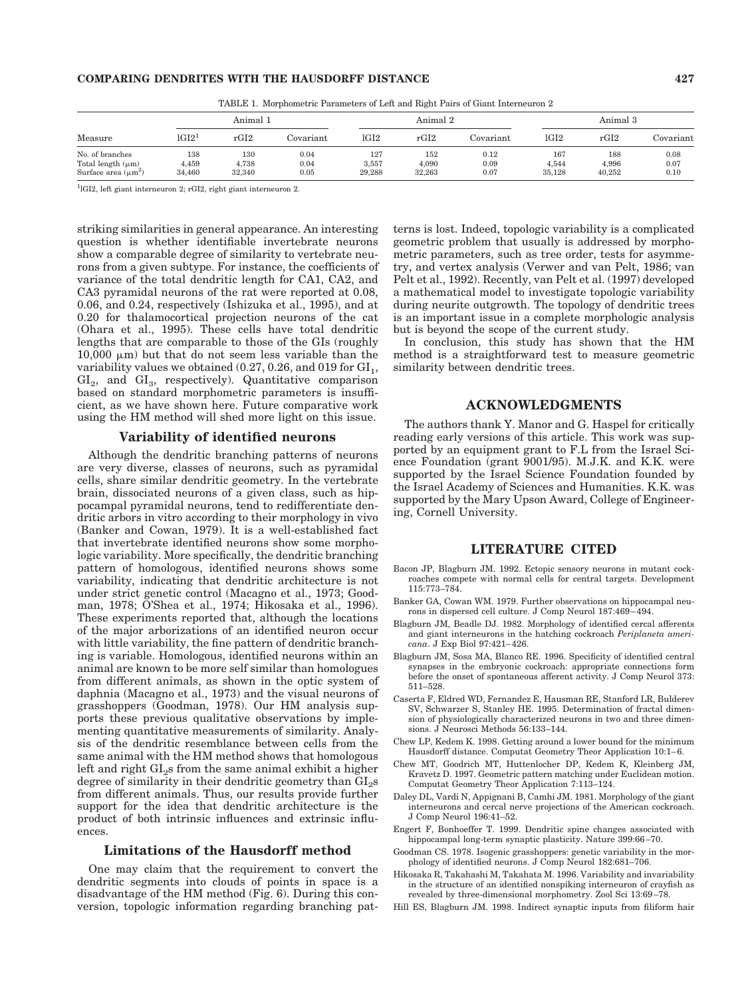#### **COMPARING DENDRITES WITH THE HAUSDORFF DISTANCE 427**

| Measure                                                               | Animal 1               |                        |                      | Animal 2               |                        |                      | Animal 3               |                        |                      |
|-----------------------------------------------------------------------|------------------------|------------------------|----------------------|------------------------|------------------------|----------------------|------------------------|------------------------|----------------------|
|                                                                       | $1 \text{G} 12^1$      | rGI2                   | Covariant            | lGI2                   | rGI2                   | Covariant            | lGI2                   | rGI2                   | Covariant            |
| No. of branches<br>Total length $(\mu m)$<br>Surface area $(\mu m^2)$ | 138<br>4.459<br>34.460 | 130<br>4.738<br>32.340 | 0.04<br>0.04<br>0.05 | 127<br>3.557<br>29.288 | 152<br>4.090<br>32.263 | 0.12<br>0.09<br>0.07 | 167<br>4.544<br>35.128 | 188<br>4.996<br>40.252 | 0.08<br>0.07<br>0.10 |

TABLE 1. Morphometric Parameters of Left and Right Pairs of Giant Interneuron 2

1 lGI2, left giant interneuron 2; rGI2, right giant interneuron 2.

striking similarities in general appearance. An interesting question is whether identifiable invertebrate neurons show a comparable degree of similarity to vertebrate neurons from a given subtype. For instance, the coefficients of variance of the total dendritic length for CA1, CA2, and CA3 pyramidal neurons of the rat were reported at 0.08, 0.06, and 0.24, respectively (Ishizuka et al., 1995), and at 0.20 for thalamocortical projection neurons of the cat (Ohara et al., 1995). These cells have total dendritic lengths that are comparable to those of the GIs (roughly  $10,000 \mu m$ ) but that do not seem less variable than the variability values we obtained  $(0.27, 0.26,$  and 019 for  $GI<sub>1</sub>$ ,  $GI<sub>2</sub>$ , and  $GI<sub>3</sub>$ , respectively). Quantitative comparison based on standard morphometric parameters is insufficient, as we have shown here. Future comparative work using the HM method will shed more light on this issue.

## **Variability of identified neurons**

Although the dendritic branching patterns of neurons are very diverse, classes of neurons, such as pyramidal cells, share similar dendritic geometry. In the vertebrate brain, dissociated neurons of a given class, such as hippocampal pyramidal neurons, tend to redifferentiate dendritic arbors in vitro according to their morphology in vivo (Banker and Cowan, 1979). It is a well-established fact that invertebrate identified neurons show some morphologic variability. More specifically, the dendritic branching pattern of homologous, identified neurons shows some variability, indicating that dendritic architecture is not under strict genetic control (Macagno et al., 1973; Goodman, 1978; O'Shea et al., 1974; Hikosaka et al., 1996). These experiments reported that, although the locations of the major arborizations of an identified neuron occur with little variability, the fine pattern of dendritic branching is variable. Homologous, identified neurons within an animal are known to be more self similar than homologues from different animals, as shown in the optic system of daphnia (Macagno et al., 1973) and the visual neurons of grasshoppers (Goodman, 1978). Our HM analysis supports these previous qualitative observations by implementing quantitative measurements of similarity. Analysis of the dendritic resemblance between cells from the same animal with the HM method shows that homologous left and right GI<sub>2</sub>s from the same animal exhibit a higher degree of similarity in their dendritic geometry than GI<sub>2</sub>s from different animals. Thus, our results provide further support for the idea that dendritic architecture is the product of both intrinsic influences and extrinsic influences.

#### **Limitations of the Hausdorff method**

One may claim that the requirement to convert the dendritic segments into clouds of points in space is a disadvantage of the HM method (Fig. 6). During this conversion, topologic information regarding branching patterns is lost. Indeed, topologic variability is a complicated geometric problem that usually is addressed by morphometric parameters, such as tree order, tests for asymmetry, and vertex analysis (Verwer and van Pelt, 1986; van Pelt et al., 1992). Recently, van Pelt et al. (1997) developed a mathematical model to investigate topologic variability during neurite outgrowth. The topology of dendritic trees is an important issue in a complete morphologic analysis but is beyond the scope of the current study.

In conclusion, this study has shown that the HM method is a straightforward test to measure geometric similarity between dendritic trees.

## **ACKNOWLEDGMENTS**

The authors thank Y. Manor and G. Haspel for critically reading early versions of this article. This work was supported by an equipment grant to F.L from the Israel Science Foundation (grant 9001/95). M.J.K. and K.K. were supported by the Israel Science Foundation founded by the Israel Academy of Sciences and Humanities. K.K. was supported by the Mary Upson Award, College of Engineering, Cornell University.

#### **LITERATURE CITED**

- Bacon JP, Blagburn JM. 1992. Ectopic sensory neurons in mutant cockroaches compete with normal cells for central targets. Development 115:773–784.
- Banker GA, Cowan WM. 1979. Further observations on hippocampal neurons in dispersed cell culture. J Comp Neurol 187:469–494.
- Blagburn JM, Beadle DJ. 1982. Morphology of identified cercal afferents and giant interneurons in the hatching cockroach *Periplaneta americana*. J Exp Biol 97:421–426.
- Blagburn JM, Sosa MA, Blanco RE. 1996. Specificity of identified central synapses in the embryonic cockroach: appropriate connections form before the onset of spontaneous afferent activity. J Comp Neurol 373: 511–528.
- Caserta F, Eldred WD, Fernandez E, Hausman RE, Stanford LR, Bulderev SV, Schwarzer S, Stanley HE. 1995. Determination of fractal dimension of physiologically characterized neurons in two and three dimensions. J Neurosci Methods 56:133–144.
- Chew LP, Kedem K. 1998. Getting around a lower bound for the minimum Hausdorff distance. Computat Geometry Theor Application 10:1–6.
- Chew MT, Goodrich MT, Huttenlocher DP, Kedem K, Kleinberg JM, Kravetz D. 1997. Geometric pattern matching under Euclidean motion. Computat Geometry Theor Application 7:113–124.
- Daley DL, Vardi N, Appignani B, Camhi JM. 1981. Morphology of the giant interneurons and cercal nerve projections of the American cockroach. J Comp Neurol 196:41–52.
- Engert F, Bonhoeffer T. 1999. Dendritic spine changes associated with hippocampal long-term synaptic plasticity. Nature 399:66–70.
- Goodman CS. 1978. Isogenic grasshoppers: genetic variability in the morphology of identified neurons. J Comp Neurol 182:681–706.
- Hikosaka R, Takahashi M, Takahata M. 1996. Variability and invariability in the structure of an identified nonspiking interneuron of crayfish as revealed by three-dimensional morphometry. Zool Sci 13:69–78.
- Hill ES, Blagburn JM. 1998. Indirect synaptic inputs from filiform hair